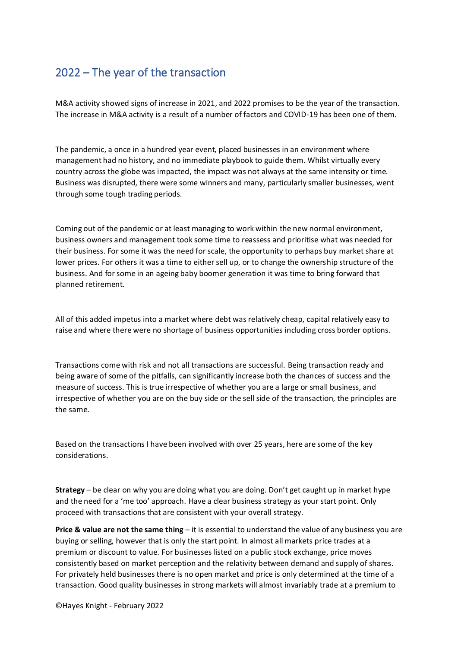## 2022 – The year of the transaction

M&A activity showed signs of increase in 2021, and 2022 promises to be the year of the transaction. The increase in M&A activity is a result of a number of factors and COVID-19 has been one of them.

The pandemic, a once in a hundred year event, placed businesses in an environment where management had no history, and no immediate playbook to guide them. Whilst virtually every country across the globe was impacted, the impact was not always at the same intensity or time. Business was disrupted, there were some winners and many, particularly smaller businesses, went through some tough trading periods.

Coming out of the pandemic or at least managing to work within the new normal environment, business owners and management took some time to reassess and prioritise what was needed for their business. For some it was the need for scale, the opportunity to perhaps buy market share at lower prices. For others it was a time to either sell up, or to change the ownership structure of the business. And for some in an ageing baby boomer generation it was time to bring forward that planned retirement.

All of this added impetus into a market where debt was relatively cheap, capital relatively easy to raise and where there were no shortage of business opportunities including cross border options.

Transactions come with risk and not all transactions are successful. Being transaction ready and being aware of some of the pitfalls, can significantly increase both the chances of success and the measure of success. This is true irrespective of whether you are a large or small business, and irrespective of whether you are on the buy side or the sell side of the transaction, the principles are the same.

Based on the transactions I have been involved with over 25 years, here are some of the key considerations.

**Strategy** – be clear on why you are doing what you are doing. Don't get caught up in market hype and the need for a 'me too' approach. Have a clear business strategy as your start point. Only proceed with transactions that are consistent with your overall strategy.

**Price & value are not the same thing** – it is essential to understand the value of any business you are buying or selling, however that is only the start point. In almost all markets price trades at a premium or discount to value. For businesses listed on a public stock exchange, price moves consistently based on market perception and the relativity between demand and supply of shares. For privately held businesses there is no open market and price is only determined at the time of a transaction. Good quality businesses in strong markets will almost invariably trade at a premium to

©Hayes Knight - February 2022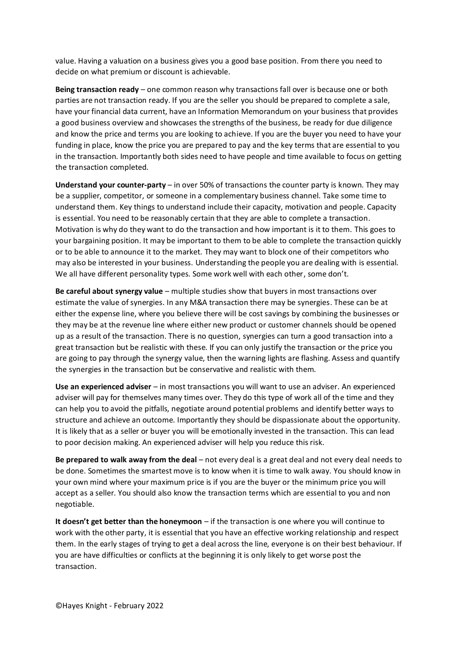value. Having a valuation on a business gives you a good base position. From there you need to decide on what premium or discount is achievable.

**Being transaction ready** – one common reason why transactions fall over is because one or both parties are not transaction ready. If you are the seller you should be prepared to complete a sale, have your financial data current, have an Information Memorandum on your business that provides a good business overview and showcases the strengths of the business, be ready for due diligence and know the price and terms you are looking to achieve. If you are the buyer you need to have your funding in place, know the price you are prepared to pay and the key terms that are essential to you in the transaction. Importantly both sides need to have people and time available to focus on getting the transaction completed.

**Understand your counter-party** – in over 50% of transactions the counter party is known. They may be a supplier, competitor, or someone in a complementary business channel. Take some time to understand them. Key things to understand include their capacity, motivation and people. Capacity is essential. You need to be reasonably certain that they are able to complete a transaction. Motivation is why do they want to do the transaction and how important is it to them. This goes to your bargaining position. It may be important to them to be able to complete the transaction quickly or to be able to announce it to the market. They may want to block one of their competitors who may also be interested in your business. Understanding the people you are dealing with is essential. We all have different personality types. Some work well with each other, some don't.

**Be careful about synergy value** – multiple studies show that buyers in most transactions over estimate the value of synergies. In any M&A transaction there may be synergies. These can be at either the expense line, where you believe there will be cost savings by combining the businesses or they may be at the revenue line where either new product or customer channels should be opened up as a result of the transaction. There is no question, synergies can turn a good transaction into a great transaction but be realistic with these. If you can only justify the transaction or the price you are going to pay through the synergy value, then the warning lights are flashing. Assess and quantify the synergies in the transaction but be conservative and realistic with them.

**Use an experienced adviser** – in most transactions you will want to use an adviser. An experienced adviser will pay for themselves many times over. They do this type of work all of the time and they can help you to avoid the pitfalls, negotiate around potential problems and identify better ways to structure and achieve an outcome. Importantly they should be dispassionate about the opportunity. It is likely that as a seller or buyer you will be emotionally invested in the transaction. This can lead to poor decision making. An experienced adviser will help you reduce this risk.

**Be prepared to walk away from the deal** – not every deal is a great deal and not every deal needs to be done. Sometimes the smartest move is to know when it is time to walk away. You should know in your own mind where your maximum price is if you are the buyer or the minimum price you will accept as a seller. You should also know the transaction terms which are essential to you and non negotiable.

**It doesn't get better than the honeymoon** – if the transaction is one where you will continue to work with the other party, it is essential that you have an effective working relationship and respect them. In the early stages of trying to get a deal across the line, everyone is on their best behaviour. If you are have difficulties or conflicts at the beginning it is only likely to get worse post the transaction.